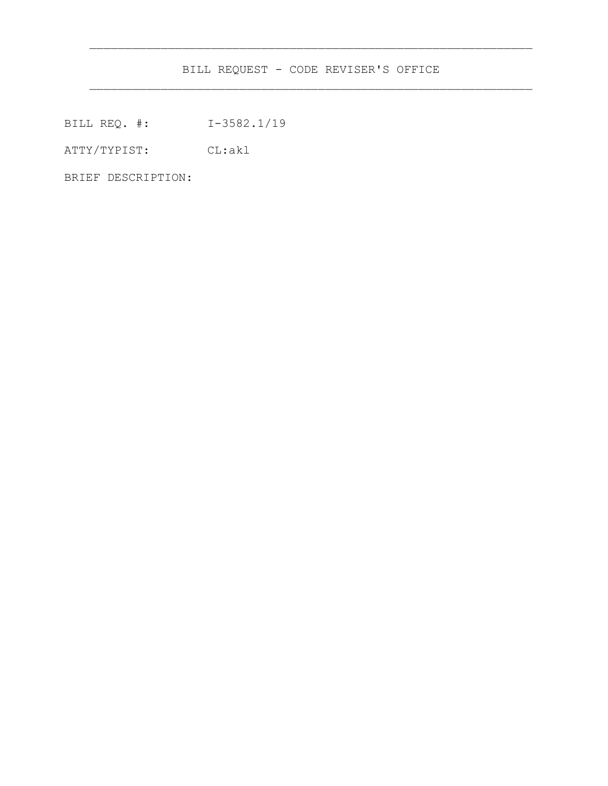BILL REQUEST - CODE REVISER'S OFFICE

 $\frac{1}{2}$  ,  $\frac{1}{2}$  ,  $\frac{1}{2}$  ,  $\frac{1}{2}$  ,  $\frac{1}{2}$  ,  $\frac{1}{2}$  ,  $\frac{1}{2}$  ,  $\frac{1}{2}$  ,  $\frac{1}{2}$  ,  $\frac{1}{2}$  ,  $\frac{1}{2}$  ,  $\frac{1}{2}$  ,  $\frac{1}{2}$  ,  $\frac{1}{2}$  ,  $\frac{1}{2}$  ,  $\frac{1}{2}$  ,  $\frac{1}{2}$  ,  $\frac{1}{2}$  ,  $\frac{1$ 

BILL REQ. #: I-3582.1/19

ATTY/TYPIST: CL:akl

BRIEF DESCRIPTION: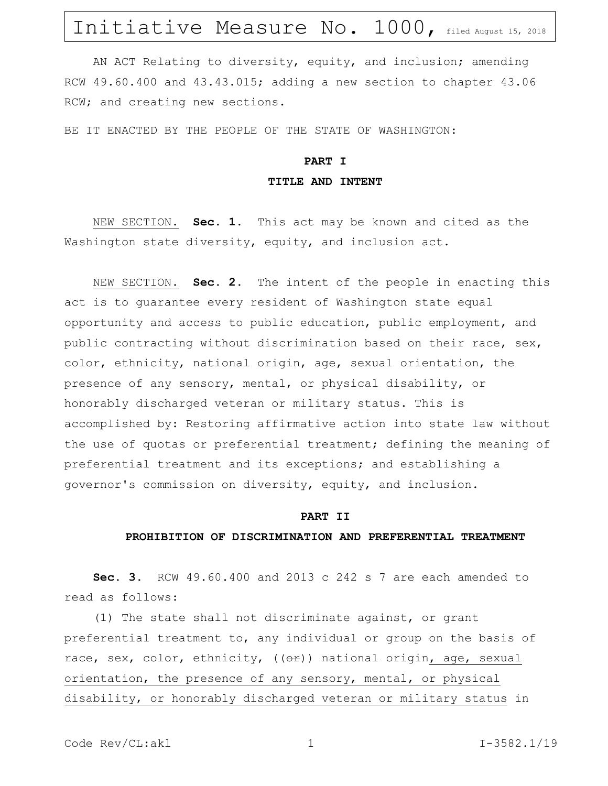# Initiative Measure No. 1000, filed August 15, 2018

AN ACT Relating to diversity, equity, and inclusion; amending RCW 49.60.400 and 43.43.015; adding a new section to chapter 43.06 RCW; and creating new sections.

BE IT ENACTED BY THE PEOPLE OF THE STATE OF WASHINGTON:

### **PART I TITLE AND INTENT**

NEW SECTION. **Sec. 1.** This act may be known and cited as the Washington state diversity, equity, and inclusion act.

NEW SECTION. **Sec. 2.** The intent of the people in enacting this act is to guarantee every resident of Washington state equal opportunity and access to public education, public employment, and public contracting without discrimination based on their race, sex, color, ethnicity, national origin, age, sexual orientation, the presence of any sensory, mental, or physical disability, or honorably discharged veteran or military status. This is accomplished by: Restoring affirmative action into state law without the use of quotas or preferential treatment; defining the meaning of preferential treatment and its exceptions; and establishing a governor's commission on diversity, equity, and inclusion.

#### **PART II**

#### **PROHIBITION OF DISCRIMINATION AND PREFERENTIAL TREATMENT**

**Sec. 3.** RCW 49.60.400 and 2013 c 242 s 7 are each amended to read as follows:

(1) The state shall not discriminate against, or grant preferential treatment to, any individual or group on the basis of race, sex, color, ethnicity, ((or)) national origin, age, sexual orientation, the presence of any sensory, mental, or physical disability, or honorably discharged veteran or military status in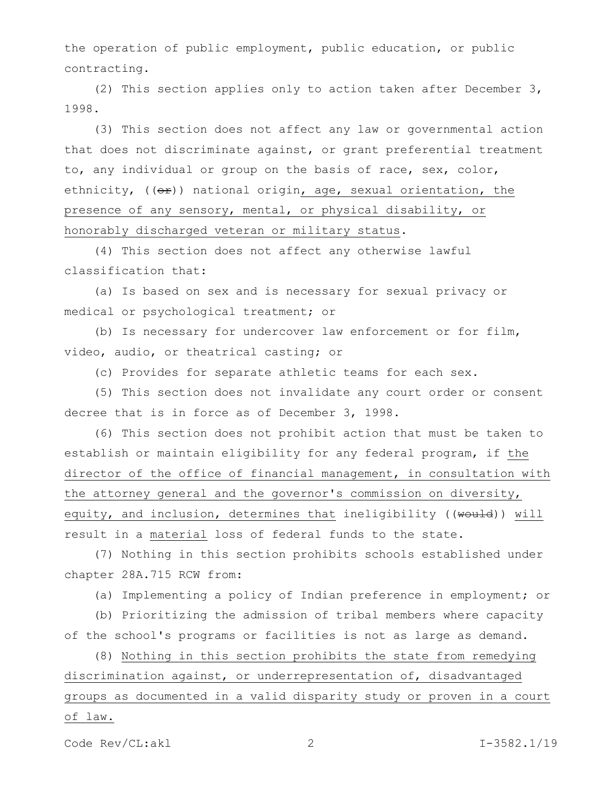the operation of public employment, public education, or public contracting.

(2) This section applies only to action taken after December 3, 1998.

(3) This section does not affect any law or governmental action that does not discriminate against, or grant preferential treatment to, any individual or group on the basis of race, sex, color, ethnicity,  $((e^x))$  national origin, age, sexual orientation, the presence of any sensory, mental, or physical disability, or honorably discharged veteran or military status.

(4) This section does not affect any otherwise lawful classification that:

(a) Is based on sex and is necessary for sexual privacy or medical or psychological treatment; or

(b) Is necessary for undercover law enforcement or for film, video, audio, or theatrical casting; or

(c) Provides for separate athletic teams for each sex.

(5) This section does not invalidate any court order or consent decree that is in force as of December 3, 1998.

(6) This section does not prohibit action that must be taken to establish or maintain eligibility for any federal program, if the director of the office of financial management, in consultation with the attorney general and the governor's commission on diversity, equity, and inclusion, determines that ineligibility ((would)) will result in a material loss of federal funds to the state.

(7) Nothing in this section prohibits schools established under chapter 28A.715 RCW from:

(a) Implementing a policy of Indian preference in employment; or

(b) Prioritizing the admission of tribal members where capacity of the school's programs or facilities is not as large as demand.

(8) Nothing in this section prohibits the state from remedying discrimination against, or underrepresentation of, disadvantaged groups as documented in a valid disparity study or proven in a court of law.

Code Rev/CL:akl 2 I-3582.1/19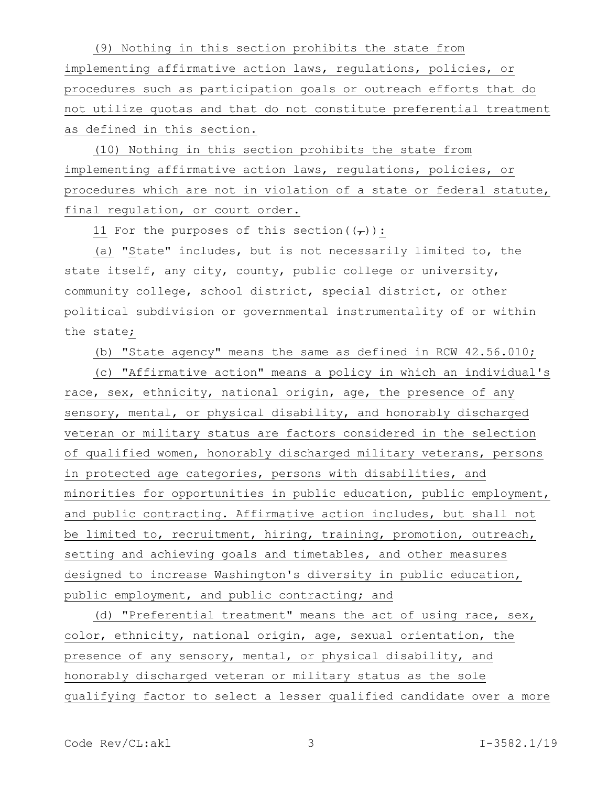(9) Nothing in this section prohibits the state from implementing affirmative action laws, regulations, policies, or procedures such as participation goals or outreach efforts that do not utilize quotas and that do not constitute preferential treatment as defined in this section.

(10) Nothing in this section prohibits the state from implementing affirmative action laws, regulations, policies, or procedures which are not in violation of a state or federal statute, final regulation, or court order.

11 For the purposes of this section( $(\tau)$ ):

(a) "State" includes, but is not necessarily limited to, the state itself, any city, county, public college or university, community college, school district, special district, or other political subdivision or governmental instrumentality of or within the state;

(b) "State agency" means the same as defined in RCW 42.56.010;

(c) "Affirmative action" means a policy in which an individual's race, sex, ethnicity, national origin, age, the presence of any sensory, mental, or physical disability, and honorably discharged veteran or military status are factors considered in the selection of qualified women, honorably discharged military veterans, persons in protected age categories, persons with disabilities, and minorities for opportunities in public education, public employment, and public contracting. Affirmative action includes, but shall not be limited to, recruitment, hiring, training, promotion, outreach, setting and achieving goals and timetables, and other measures designed to increase Washington's diversity in public education, public employment, and public contracting; and

(d) "Preferential treatment" means the act of using race, sex, color, ethnicity, national origin, age, sexual orientation, the presence of any sensory, mental, or physical disability, and honorably discharged veteran or military status as the sole qualifying factor to select a lesser qualified candidate over a more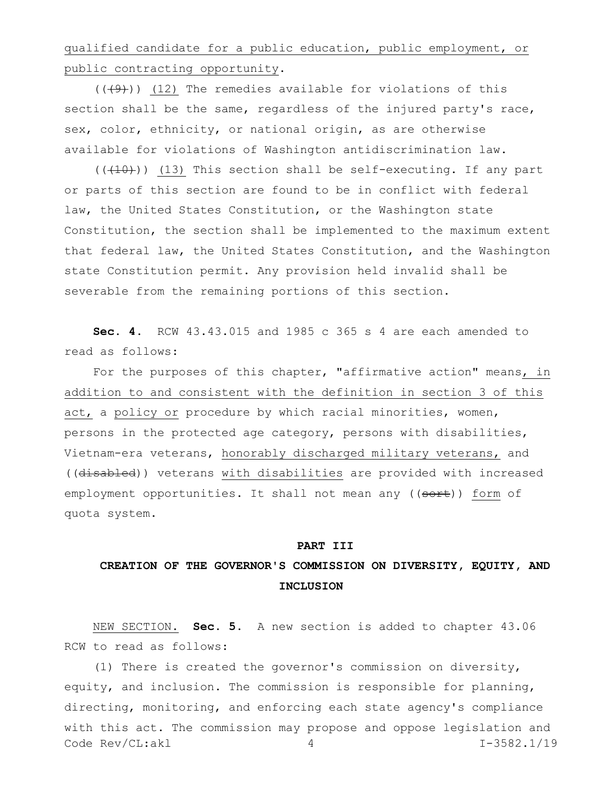qualified candidate for a public education, public employment, or public contracting opportunity.

 $((+9))$  (12) The remedies available for violations of this section shall be the same, regardless of the injured party's race, sex, color, ethnicity, or national origin, as are otherwise available for violations of Washington antidiscrimination law.

 $((+10))$  (13) This section shall be self-executing. If any part or parts of this section are found to be in conflict with federal law, the United States Constitution, or the Washington state Constitution, the section shall be implemented to the maximum extent that federal law, the United States Constitution, and the Washington state Constitution permit. Any provision held invalid shall be severable from the remaining portions of this section.

**Sec. 4.** RCW 43.43.015 and 1985 c 365 s 4 are each amended to read as follows:

For the purposes of this chapter, "affirmative action" means, in addition to and consistent with the definition in section 3 of this act, a policy or procedure by which racial minorities, women, persons in the protected age category, persons with disabilities, Vietnam-era veterans, honorably discharged military veterans, and ((disabled)) veterans with disabilities are provided with increased employment opportunities. It shall not mean any ((sort)) form of quota system.

### **PART III**

### **CREATION OF THE GOVERNOR'S COMMISSION ON DIVERSITY, EQUITY, AND INCLUSION**

NEW SECTION. **Sec. 5.** A new section is added to chapter 43.06 RCW to read as follows:

Code Rev/CL:akl 4 1-3582.1/19 (1) There is created the governor's commission on diversity, equity, and inclusion. The commission is responsible for planning, directing, monitoring, and enforcing each state agency's compliance with this act. The commission may propose and oppose legislation and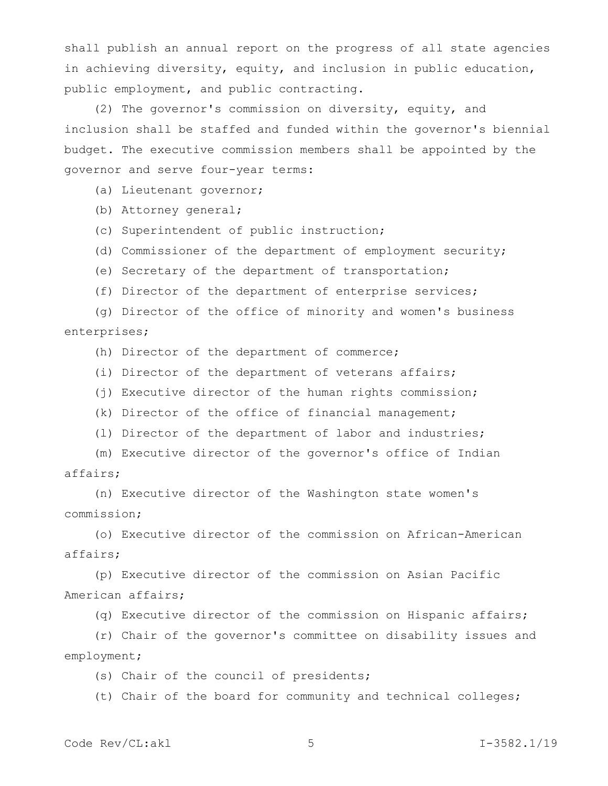shall publish an annual report on the progress of all state agencies in achieving diversity, equity, and inclusion in public education, public employment, and public contracting.

(2) The governor's commission on diversity, equity, and inclusion shall be staffed and funded within the governor's biennial budget. The executive commission members shall be appointed by the governor and serve four-year terms:

- (a) Lieutenant governor;
- (b) Attorney general;
- (c) Superintendent of public instruction;
- (d) Commissioner of the department of employment security;
- (e) Secretary of the department of transportation;
- (f) Director of the department of enterprise services;

(g) Director of the office of minority and women's business enterprises;

- (h) Director of the department of commerce;
- (i) Director of the department of veterans affairs;
- (j) Executive director of the human rights commission;
- (k) Director of the office of financial management;
- (l) Director of the department of labor and industries;

(m) Executive director of the governor's office of Indian affairs;

(n) Executive director of the Washington state women's commission;

(o) Executive director of the commission on African-American affairs;

(p) Executive director of the commission on Asian Pacific American affairs;

(q) Executive director of the commission on Hispanic affairs;

(r) Chair of the governor's committee on disability issues and employment;

(s) Chair of the council of presidents;

(t) Chair of the board for community and technical colleges;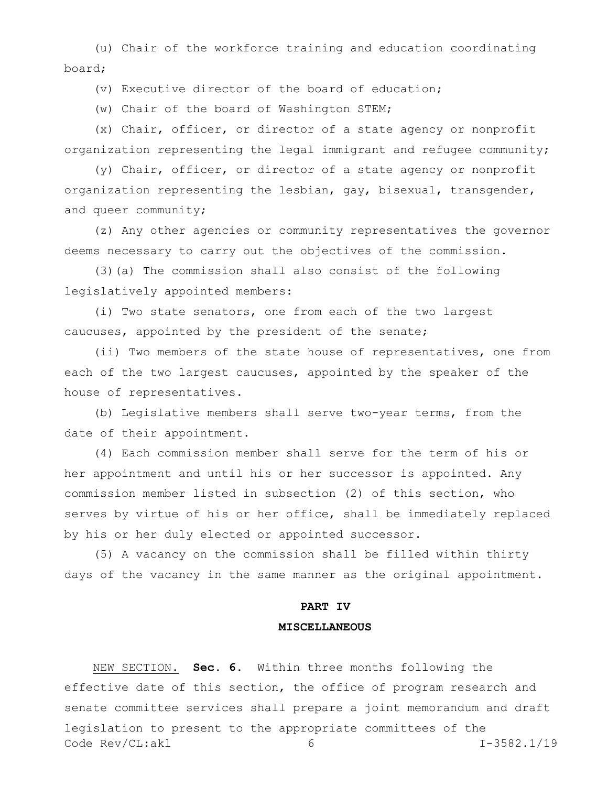(u) Chair of the workforce training and education coordinating board;

(v) Executive director of the board of education;

(w) Chair of the board of Washington STEM;

(x) Chair, officer, or director of a state agency or nonprofit organization representing the legal immigrant and refugee community;

(y) Chair, officer, or director of a state agency or nonprofit organization representing the lesbian, gay, bisexual, transgender, and queer community;

(z) Any other agencies or community representatives the governor deems necessary to carry out the objectives of the commission.

(3)(a) The commission shall also consist of the following legislatively appointed members:

(i) Two state senators, one from each of the two largest caucuses, appointed by the president of the senate;

(ii) Two members of the state house of representatives, one from each of the two largest caucuses, appointed by the speaker of the house of representatives.

(b) Legislative members shall serve two-year terms, from the date of their appointment.

(4) Each commission member shall serve for the term of his or her appointment and until his or her successor is appointed. Any commission member listed in subsection (2) of this section, who serves by virtue of his or her office, shall be immediately replaced by his or her duly elected or appointed successor.

(5) A vacancy on the commission shall be filled within thirty days of the vacancy in the same manner as the original appointment.

## **PART IV MISCELLANEOUS**

Code Rev/CL:akl 6 6 1-3582.1/19 NEW SECTION. **Sec. 6.** Within three months following the effective date of this section, the office of program research and senate committee services shall prepare a joint memorandum and draft legislation to present to the appropriate committees of the